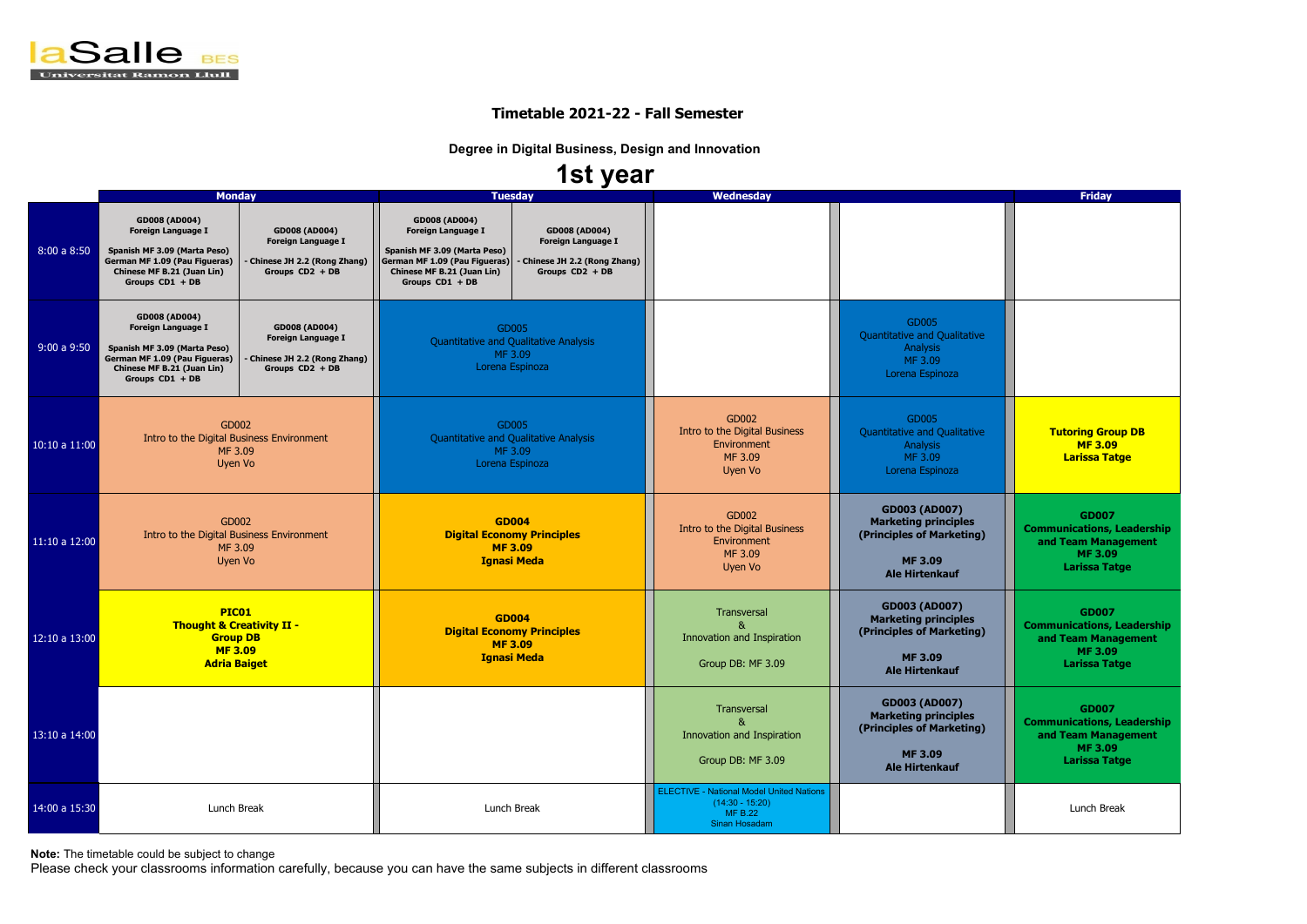

|               | <b>Monday</b>                                                                                                                                                       |                                                                                                       |                                                                                                                                                                     | <b>Tuesday</b>                                                                                      | <b>Wednesday</b>                                                                                        | <b>Friday</b>                                                                                                               |                                                                                                      |
|---------------|---------------------------------------------------------------------------------------------------------------------------------------------------------------------|-------------------------------------------------------------------------------------------------------|---------------------------------------------------------------------------------------------------------------------------------------------------------------------|-----------------------------------------------------------------------------------------------------|---------------------------------------------------------------------------------------------------------|-----------------------------------------------------------------------------------------------------------------------------|------------------------------------------------------------------------------------------------------|
| 8:00a8:50     | <b>GD008 (AD004)</b><br><b>Foreign Language I</b><br>Spanish MF 3.09 (Marta Peso)<br>German MF 1.09 (Pau Figueras)<br>Chinese MF B.21 (Juan Lin)<br>Groups CD1 + DB | <b>GD008 (AD004)</b><br><b>Foreign Language I</b><br>- Chinese JH 2.2 (Rong Zhang)<br>Groups CD2 + DB | <b>GD008 (AD004)</b><br><b>Foreign Language I</b><br>Spanish MF 3.09 (Marta Peso)<br>German MF 1.09 (Pau Figueras)<br>Chinese MF B.21 (Juan Lin)<br>Groups CD1 + DB | <b>GD008 (AD004)</b><br><b>Foreign Language I</b><br>Chinese JH 2.2 (Rong Zhang)<br>Groups CD2 + DB |                                                                                                         |                                                                                                                             |                                                                                                      |
| 9:00a9:50     | <b>GD008 (AD004)</b><br><b>Foreign Language I</b><br>Spanish MF 3.09 (Marta Peso)<br>German MF 1.09 (Pau Figueras)<br>Chinese MF B.21 (Juan Lin)<br>Groups CD1 + DB | <b>GD008 (AD004)</b><br><b>Foreign Language I</b><br>- Chinese JH 2.2 (Rong Zhang)<br>Groups CD2 + DB | GD005<br><b>Quantitative and Qualitative Analysis</b><br>MF 3.09<br>Lorena Espinoza                                                                                 |                                                                                                     |                                                                                                         | GD005<br>Quantitative and Qualitative<br>Analysis<br>MF 3.09<br>Lorena Espinoza                                             |                                                                                                      |
| 10:10 a 11:00 | GD002<br>Intro to the Digital Business Environment<br>MF 3.09<br>Uyen Vo                                                                                            |                                                                                                       | GD005<br>Quantitative and Qualitative Analysis<br>MF 3.09<br>Lorena Espinoza                                                                                        |                                                                                                     | GD002<br>Intro to the Digital Business<br>Environment<br>MF 3.09<br>Uyen Vo                             | GD005<br>Quantitative and Qualitative<br>Analysis<br>MF 3.09<br>Lorena Espinoza                                             | <b>Tutoring Group</b><br><b>MF3.09</b><br><b>Larissa Tatg</b>                                        |
| 11:10a 12:00  | GD002<br>Intro to the Digital Business Environment<br>MF 3.09<br>Uyen Vo                                                                                            |                                                                                                       | <b>GD004</b><br><b>Digital Economy Principles</b><br><b>MF3.09</b><br><b>Ignasi Meda</b>                                                                            |                                                                                                     | GD002<br>Intro to the Digital Business<br>Environment<br>MF 3.09<br>Uyen Vo                             | <b>GD003 (AD007)</b><br><b>Marketing principles</b><br>(Principles of Marketing)<br><b>MF 3.09</b><br><b>Ale Hirtenkauf</b> | <b>GD007</b><br><b>Communications, Le</b><br>and Team Manag<br><b>MF 3.09</b><br><b>Larissa Tatg</b> |
| 12:10 a 13:00 | PIC01<br><b>Thought &amp; Creativity II -</b><br><b>Group DB</b><br><b>MF3.09</b><br><b>Adria Baiget</b>                                                            |                                                                                                       | <b>GD004</b><br><b>Digital Economy Principles</b><br><b>MF3.09</b><br><b>Ignasi Meda</b>                                                                            |                                                                                                     | Transversal<br>Innovation and Inspiration<br>Group DB: MF 3.09                                          | <b>GD003 (AD007)</b><br><b>Marketing principles</b><br>(Principles of Marketing)<br><b>MF 3.09</b><br><b>Ale Hirtenkauf</b> | <b>GD007</b><br><b>Communications, Le</b><br>and Team Manag<br><b>MF3.09</b><br><b>Larissa Tatg</b>  |
| 13:10 a 14:00 |                                                                                                                                                                     |                                                                                                       |                                                                                                                                                                     |                                                                                                     | Transversal<br>8 <sub>k</sub><br><b>Innovation and Inspiration</b><br>Group DB: MF 3.09                 | <b>GD003 (AD007)</b><br><b>Marketing principles</b><br>(Principles of Marketing)<br><b>MF 3.09</b><br><b>Ale Hirtenkauf</b> | <b>GD007</b><br><b>Communications, Le</b><br>and Team Manag<br>MF 3.09<br><b>Larissa Tatg</b>        |
| 14:00 a 15:30 | Lunch Break                                                                                                                                                         |                                                                                                       | Lunch Break                                                                                                                                                         |                                                                                                     | <b>ELECTIVE - National Model United Nations</b><br>$(14:30 - 15:20)$<br><b>MF B.22</b><br>Sinan Hosadam |                                                                                                                             | Lunch Break                                                                                          |

**Note:** The timetable could be subject to change

Please check your classrooms information carefully, because you can have the same subjects in different classrooms



### **Timetable 2021-22 - Fall Semester**

**Degree in Digital Business, Design and Innovation**

# **1st year**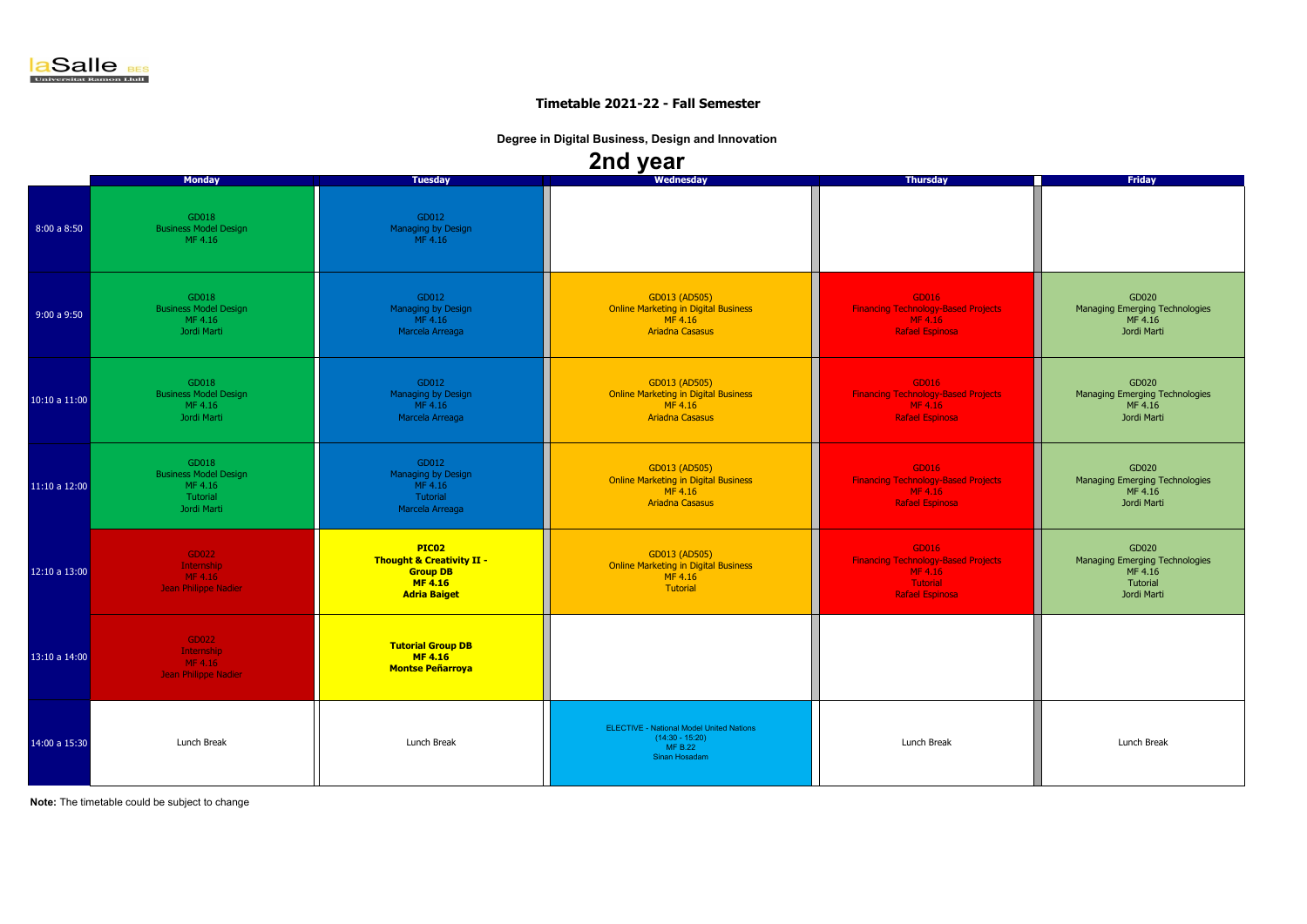**Note:** The timetable could be subject to change

|               |                                                                             |                                                                                                           | <u>—…… j oa.</u>                                                                                  |                                                                                                      |                                                                               |
|---------------|-----------------------------------------------------------------------------|-----------------------------------------------------------------------------------------------------------|---------------------------------------------------------------------------------------------------|------------------------------------------------------------------------------------------------------|-------------------------------------------------------------------------------|
|               | <b>Monday</b>                                                               | <b>Tuesday</b>                                                                                            | Wednesday                                                                                         | <b>Thursday</b>                                                                                      | <b>Friday</b>                                                                 |
| 8:00a8:50     | GD018<br><b>Business Model Design</b><br>MF 4.16                            | GD012<br>Managing by Design<br>MF 4.16                                                                    |                                                                                                   |                                                                                                      |                                                                               |
| 9:00a9:50     | GD018<br><b>Business Model Design</b><br>MF 4.16<br>Jordi Marti             | GD012<br>Managing by Design<br>MF 4.16<br>Marcela Arreaga                                                 | GD013 (AD505)<br><b>Online Marketing in Digital Business</b><br>MF 4.16<br><b>Ariadna Casasus</b> | GD016<br><b>Financing Technology-Based Projects</b><br>MF 4.16<br><b>Rafael Espinosa</b>             | GD020<br>Managing Emerging Technologies<br>MF 4.16<br>Jordi Marti             |
| 10:10 a 11:00 | GD018<br><b>Business Model Design</b><br>MF 4.16<br>Jordi Marti             | GD012<br>Managing by Design<br>MF 4.16<br>Marcela Arreaga                                                 | GD013 (AD505)<br><b>Online Marketing in Digital Business</b><br>MF 4.16<br><b>Ariadna Casasus</b> | GD016<br><b>Financing Technology-Based Projects</b><br>MF 4.16<br><b>Rafael Espinosa</b>             | GD020<br>Managing Emerging Technologies<br>MF 4.16<br>Jordi Marti             |
| 11:10 a 12:00 | GD018<br><b>Business Model Design</b><br>MF 4.16<br>Tutorial<br>Jordi Marti | GD012<br>Managing by Design<br>MF 4.16<br>Tutorial<br>Marcela Arreaga                                     | GD013 (AD505)<br><b>Online Marketing in Digital Business</b><br>MF 4.16<br><b>Ariadna Casasus</b> | GD016<br><b>Financing Technology-Based Projects</b><br>MF 4.16<br><b>Rafael Espinosa</b>             | GD020<br>Managing Emerging Technologies<br>MF 4.16<br>Jordi Marti             |
| 12:10 a 13:00 | GD022<br>Internship<br>MF 4.16<br>Jean Philippe Nadier                      | PIC02<br><b>Thought &amp; Creativity II -</b><br><b>Group DB</b><br><b>MF 4.16</b><br><b>Adria Baiget</b> | GD013 (AD505)<br><b>Online Marketing in Digital Business</b><br>MF 4.16<br>Tutorial               | GD016<br><b>Financing Technology-Based Projects</b><br>MF 4.16<br>Tutorial<br><b>Rafael Espinosa</b> | GD020<br>Managing Emerging Technologies<br>MF 4.16<br>Tutorial<br>Jordi Marti |
| 13:10a 14:00  | GD022<br>Internship<br>MF 4.16<br>Jean Philippe Nadier                      | <b>Tutorial Group DB</b><br><b>MF4.16</b><br><b>Montse Peñarroya</b>                                      |                                                                                                   |                                                                                                      |                                                                               |
| 14:00 a 15:30 | Lunch Break                                                                 | Lunch Break                                                                                               | <b>ELECTIVE - National Model United Nations</b><br>$(14:30 - 15:20)$<br>MF B.22<br>Sinan Hosadam  | Lunch Break                                                                                          | Lunch Break                                                                   |



### **Timetable 2021-22 - Fall Semester**

**Degree in Digital Business, Design and Innovation**

**2nd year**